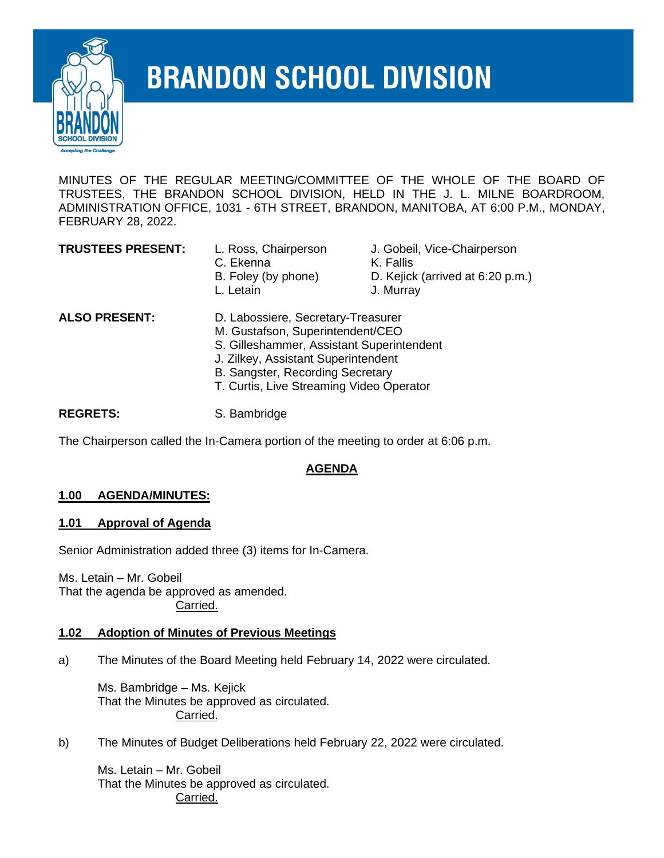

# **BRANDON SCHOOL DIVISION**

MINUTES OF THE REGULAR MEETING/COMMITTEE OF THE WHOLE OF THE BOARD OF TRUSTEES, THE BRANDON SCHOOL DIVISION, HELD IN THE J. L. MILNE BOARDROOM, ADMINISTRATION OFFICE, 1031 - 6TH STREET, BRANDON, MANITOBA, AT 6:00 P.M., MONDAY, FEBRUARY 28, 2022.

- C. Ekenna K. Fallis
- **TRUSTEES PRESENT:** L. Ross, Chairperson J. Gobeil, Vice-Chairperson
	-
	- B. Foley (by phone) D. Kejick (arrived at 6:20 p.m.)
	- L. Letain J. Murray
- **ALSO PRESENT:** D. Labossiere, Secretary-Treasurer M. Gustafson, Superintendent/CEO S. Gilleshammer, Assistant Superintendent J. Zilkey, Assistant Superintendent B. Sangster, Recording Secretary T. Curtis, Live Streaming Video Operator

REGRETS: S. Bambridge

The Chairperson called the In-Camera portion of the meeting to order at 6:06 p.m.

# **AGENDA**

# **1.00 AGENDA/MINUTES:**

#### **1.01 Approval of Agenda**

Senior Administration added three (3) items for In-Camera.

Ms. Letain – Mr. Gobeil That the agenda be approved as amended. Carried.

#### **1.02 Adoption of Minutes of Previous Meetings**

a) The Minutes of the Board Meeting held February 14, 2022 were circulated.

Ms. Bambridge – Ms. Kejick That the Minutes be approved as circulated. Carried.

b) The Minutes of Budget Deliberations held February 22, 2022 were circulated.

Ms. Letain – Mr. Gobeil That the Minutes be approved as circulated. Carried.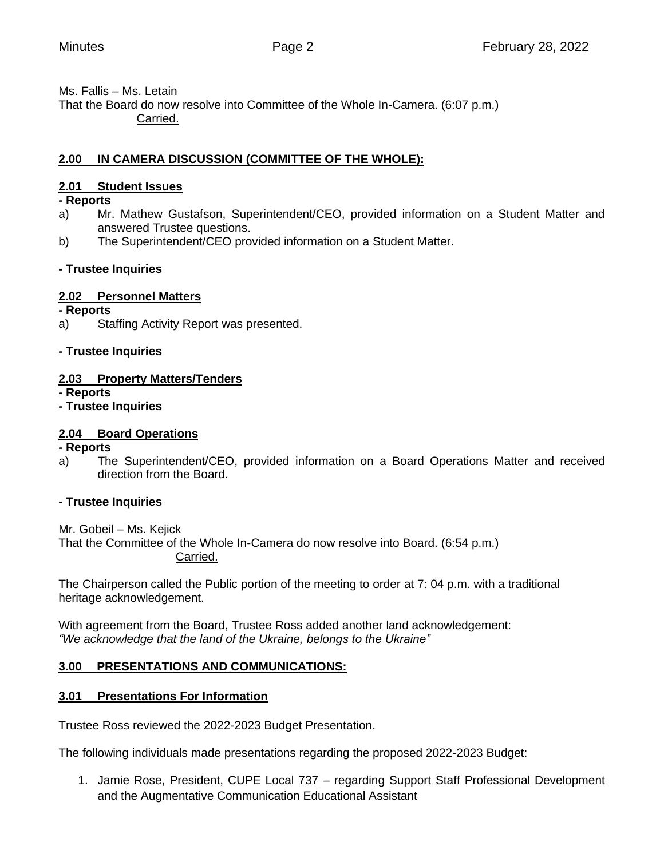# Ms. Fallis – Ms. Letain

That the Board do now resolve into Committee of the Whole In-Camera. (6:07 p.m.) Carried.

# **2.00 IN CAMERA DISCUSSION (COMMITTEE OF THE WHOLE):**

# **2.01 Student Issues**

# **- Reports**

- a) Mr. Mathew Gustafson, Superintendent/CEO, provided information on a Student Matter and answered Trustee questions.
- b) The Superintendent/CEO provided information on a Student Matter.

# **- Trustee Inquiries**

# **2.02 Personnel Matters**

- **- Reports**
- a) Staffing Activity Report was presented.

# **- Trustee Inquiries**

# **2.03 Property Matters/Tenders**

**- Reports**

# **- Trustee Inquiries**

# **2.04 Board Operations**

#### **- Reports**

a) The Superintendent/CEO, provided information on a Board Operations Matter and received direction from the Board.

#### **- Trustee Inquiries**

Mr. Gobeil – Ms. Kejick

That the Committee of the Whole In-Camera do now resolve into Board. (6:54 p.m.) Carried.

The Chairperson called the Public portion of the meeting to order at 7: 04 p.m. with a traditional heritage acknowledgement.

With agreement from the Board, Trustee Ross added another land acknowledgement: *"We acknowledge that the land of the Ukraine, belongs to the Ukraine"*

# **3.00 PRESENTATIONS AND COMMUNICATIONS:**

# **3.01 Presentations For Information**

Trustee Ross reviewed the 2022-2023 Budget Presentation.

The following individuals made presentations regarding the proposed 2022-2023 Budget:

1. Jamie Rose, President, CUPE Local 737 – regarding Support Staff Professional Development and the Augmentative Communication Educational Assistant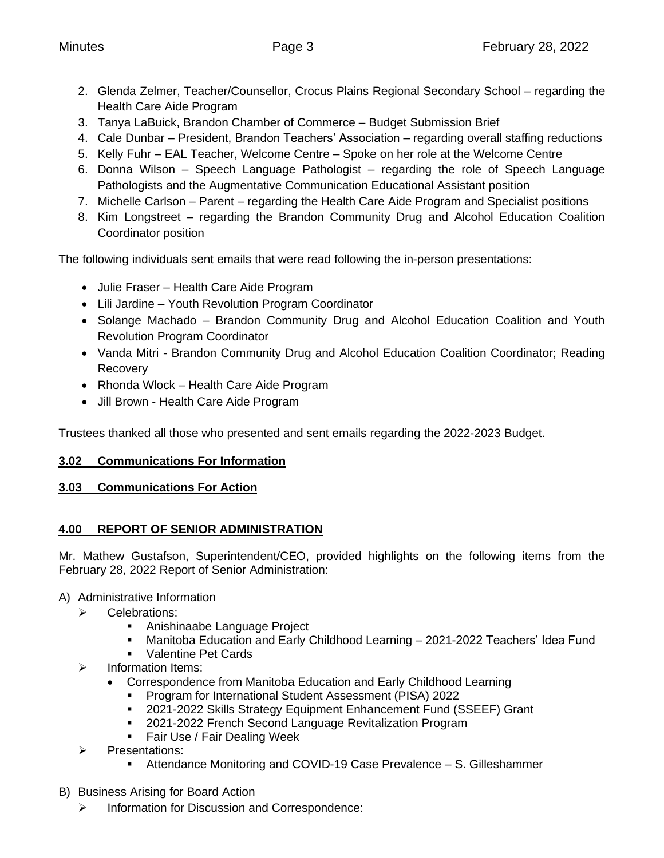- 2. Glenda Zelmer, Teacher/Counsellor, Crocus Plains Regional Secondary School regarding the Health Care Aide Program
- 3. Tanya LaBuick, Brandon Chamber of Commerce Budget Submission Brief
- 4. Cale Dunbar President, Brandon Teachers' Association regarding overall staffing reductions
- 5. Kelly Fuhr EAL Teacher, Welcome Centre Spoke on her role at the Welcome Centre
- 6. Donna Wilson Speech Language Pathologist regarding the role of Speech Language Pathologists and the Augmentative Communication Educational Assistant position
- 7. Michelle Carlson Parent regarding the Health Care Aide Program and Specialist positions
- 8. Kim Longstreet regarding the Brandon Community Drug and Alcohol Education Coalition Coordinator position

The following individuals sent emails that were read following the in-person presentations:

- Julie Fraser Health Care Aide Program
- Lili Jardine Youth Revolution Program Coordinator
- Solange Machado Brandon Community Drug and Alcohol Education Coalition and Youth Revolution Program Coordinator
- Vanda Mitri Brandon Community Drug and Alcohol Education Coalition Coordinator; Reading Recovery
- Rhonda Wlock Health Care Aide Program
- Jill Brown Health Care Aide Program

Trustees thanked all those who presented and sent emails regarding the 2022-2023 Budget.

# **3.02 Communications For Information**

# **3.03 Communications For Action**

# **4.00 REPORT OF SENIOR ADMINISTRATION**

Mr. Mathew Gustafson, Superintendent/CEO, provided highlights on the following items from the February 28, 2022 Report of Senior Administration:

# A) Administrative Information

- ➢ Celebrations:
	- Anishinaabe Language Project
	- Manitoba Education and Early Childhood Learning 2021-2022 Teachers' Idea Fund
	- Valentine Pet Cards
- ➢ Information Items:
	- Correspondence from Manitoba Education and Early Childhood Learning
		- Program for International Student Assessment (PISA) 2022
		- 2021-2022 Skills Strategy Equipment Enhancement Fund (SSEEF) Grant
		- 2021-2022 French Second Language Revitalization Program
		- Fair Use / Fair Dealing Week
- ➢ Presentations:
	- Attendance Monitoring and COVID-19 Case Prevalence S. Gilleshammer
- B) Business Arising for Board Action
	- ➢ Information for Discussion and Correspondence: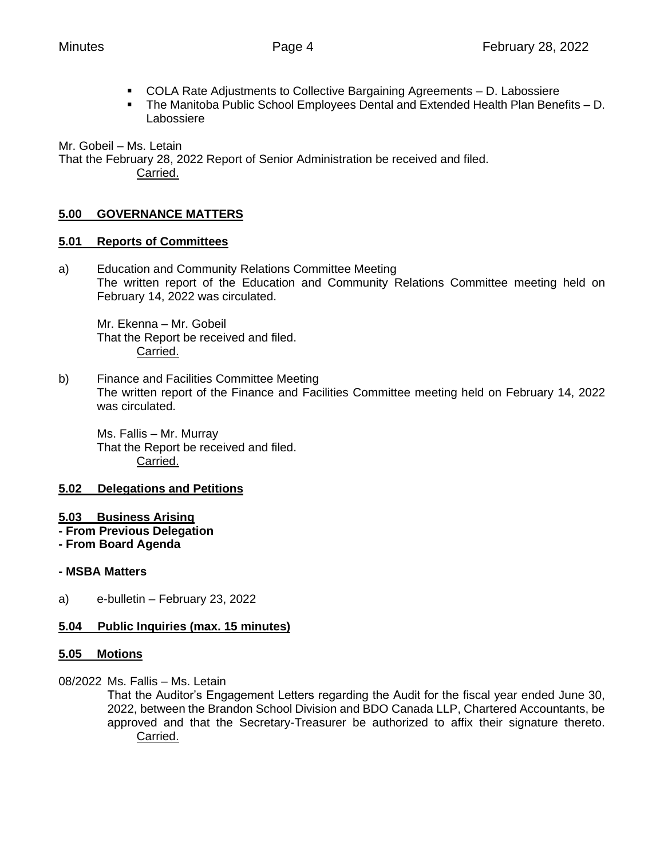- COLA Rate Adjustments to Collective Bargaining Agreements D. Labossiere
- The Manitoba Public School Employees Dental and Extended Health Plan Benefits D. Labossiere

Mr. Gobeil – Ms. Letain

That the February 28, 2022 Report of Senior Administration be received and filed. Carried.

# **5.00 GOVERNANCE MATTERS**

#### **5.01 Reports of Committees**

a) Education and Community Relations Committee Meeting The written report of the Education and Community Relations Committee meeting held on February 14, 2022 was circulated.

Mr. Ekenna – Mr. Gobeil That the Report be received and filed. Carried.

b) Finance and Facilities Committee Meeting The written report of the Finance and Facilities Committee meeting held on February 14, 2022 was circulated.

Ms. Fallis – Mr. Murray That the Report be received and filed. Carried.

#### **5.02 Delegations and Petitions**

- **5.03 Business Arising**
- **- From Previous Delegation**
- **- From Board Agenda**

#### **- MSBA Matters**

a) e-bulletin – February 23, 2022

#### **5.04 Public Inquiries (max. 15 minutes)**

#### **5.05 Motions**

08/2022 Ms. Fallis – Ms. Letain

That the Auditor's Engagement Letters regarding the Audit for the fiscal year ended June 30, 2022, between the Brandon School Division and BDO Canada LLP, Chartered Accountants, be approved and that the Secretary-Treasurer be authorized to affix their signature thereto. Carried.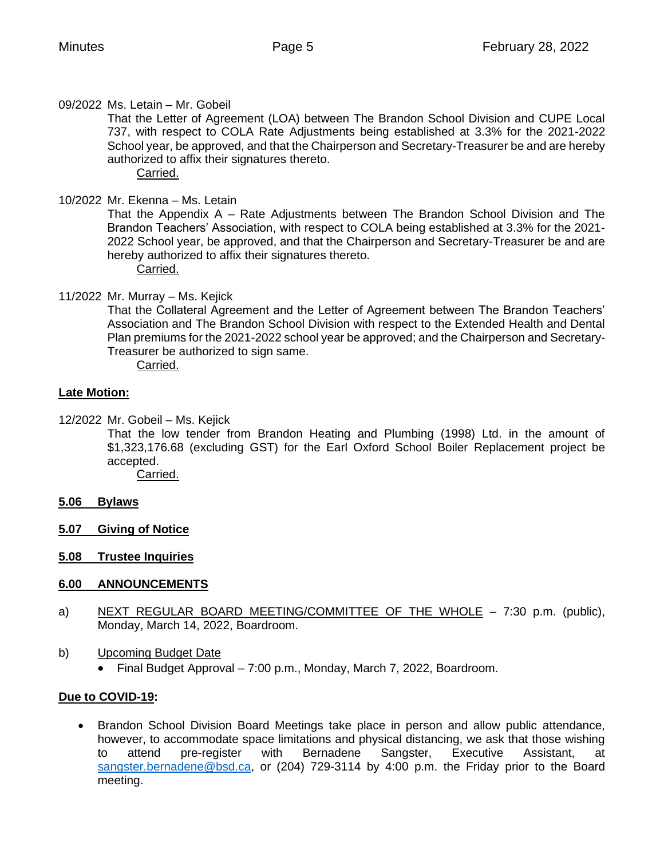09/2022 Ms. Letain – Mr. Gobeil

That the Letter of Agreement (LOA) between The Brandon School Division and CUPE Local 737, with respect to COLA Rate Adjustments being established at 3.3% for the 2021-2022 School year, be approved, and that the Chairperson and Secretary-Treasurer be and are hereby authorized to affix their signatures thereto.

Carried.

# 10/2022 Mr. Ekenna – Ms. Letain

That the Appendix A – Rate Adjustments between The Brandon School Division and The Brandon Teachers' Association, with respect to COLA being established at 3.3% for the 2021- 2022 School year, be approved, and that the Chairperson and Secretary-Treasurer be and are hereby authorized to affix their signatures thereto.

Carried.

11/2022 Mr. Murray – Ms. Kejick

That the Collateral Agreement and the Letter of Agreement between The Brandon Teachers' Association and The Brandon School Division with respect to the Extended Health and Dental Plan premiums for the 2021-2022 school year be approved; and the Chairperson and Secretary-Treasurer be authorized to sign same.

Carried.

# **Late Motion:**

12/2022 Mr. Gobeil – Ms. Kejick

That the low tender from Brandon Heating and Plumbing (1998) Ltd. in the amount of \$1,323,176.68 (excluding GST) for the Earl Oxford School Boiler Replacement project be accepted.

Carried.

- **5.06 Bylaws**
- **5.07 Giving of Notice**
- **5.08 Trustee Inquiries**

#### **6.00 ANNOUNCEMENTS**

- a) NEXT REGULAR BOARD MEETING/COMMITTEE OF THE WHOLE 7:30 p.m. (public), Monday, March 14, 2022, Boardroom.
- b) Upcoming Budget Date
	- Final Budget Approval 7:00 p.m., Monday, March 7, 2022, Boardroom.

# **Due to COVID-19:**

• Brandon School Division Board Meetings take place in person and allow public attendance, however, to accommodate space limitations and physical distancing, we ask that those wishing to attend pre-register with Bernadene Sangster, Executive Assistant, at [sangster.bernadene@bsd.ca,](mailto:sangster.bernadene@bsd.ca) or (204) 729-3114 by 4:00 p.m. the Friday prior to the Board meeting.